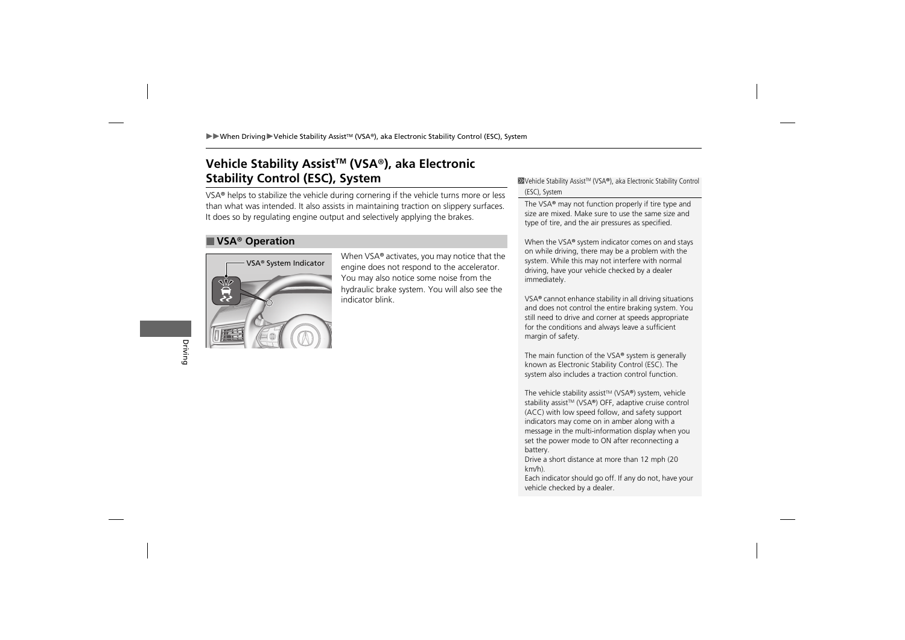## **Vehicle Stability AssistTM (VSA** ®**), aka Electronic Stability Control (ESC), System**

VSA ® helps to stabilize the vehicle during cornering if the vehicle turns more or less than what was intended. It also assists in maintaining traction on slippery surfaces. It does so by regulating engine output and selectively applying the brakes.

## ■ **VSA** ® **Operation**



When VSA ® activates, you may notice that the engine does not respond to the accelerator. You may also notice some noise from the hydraulic brake system. You will also see the indicator blink.

≫Vehicle Stability Assist™ (VSA®), aka Electronic Stability Control (ESC), System

The VSA ® may not function properly if tire type and size are mixed. Make sure to use the same size and type of tire, and the air pressures as specified.

When the VSA ® system indicator comes on and stays on while driving, there may be a problem with the system. While this may not interfere with normal driving, have your vehicle checked by a dealer immediately.

VSA ® cannot enhance stability in all driving situations and does not control the entire braking system. You still need to drive and corner at speeds appropriate for the conditions and always leave a sufficient margin of safety.

The main function of the VSA ® system is generally known as Electronic Stability Control (ESC). The system also includes a traction control function.

The vehicle stability assist™ (VSA®) system, vehicle stability assist™ (VSA®) OFF, adaptive cruise control (ACC) with low speed follow, and safety support indicators may come on in amber along with a message in the multi-information display when you set the power mode to ON after reconnecting a battery.

Drive a short distance at more than 12 mph (20 km/h).

Each indicator should go off. If any do not, have your vehicle checked by a dealer.